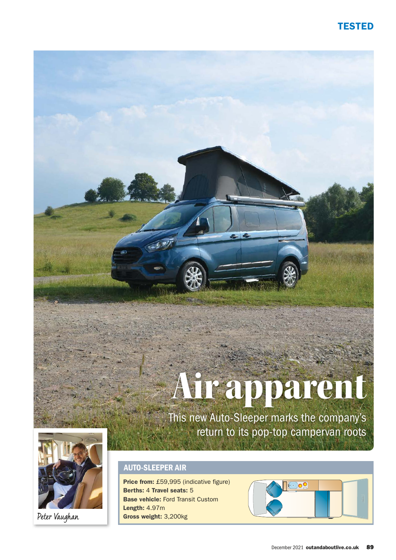# TESTED

# Air apparent

This new Auto-Sleeper marks the company's return to its pop-top campervan roots



Peter Vaughan

# AUTO-SLEEPER AIR

Price from: £59,995 (indicative figure) Berths: 4 Travel seats: 5 Base vehicle: Ford Transit Custom Length: 4.97m Gross weight: 3,200kg

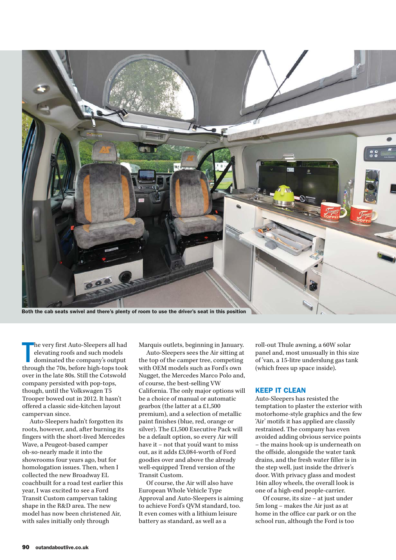

Both the cab seats swivel and there's plenty of room to use the driver's seat in this position

T he very first Auto-Sleepers all had elevating roofs and such models dominated the company's output through the 70s, before high-tops took over in the late 80s. Still the Cotswold company persisted with pop-tops, though, until the Volkswagen T5 Trooper bowed out in 2012. It hasn't offered a classic side-kitchen layout campervan since.

Auto-Sleepers hadn't forgotten its roots, however, and, after burning its fingers with the short-lived Mercedes Wave, a Peugeot-based camper oh-so-nearly made it into the showrooms four years ago, but for homologation issues. Then, when I collected the new Broadway EL coachbuilt for a road test earlier this year, I was excited to see a Ford Transit Custom campervan taking shape in the R&D area. The new model has now been christened Air, with sales initially only through

Marquis outlets, beginning in January.

Auto-Sleepers sees the Air sitting at the top of the camper tree, competing with OEM models such as Ford's own Nugget, the Mercedes Marco Polo and, of course, the best-selling VW California. The only major options will be a choice of manual or automatic gearbox (the latter at a £1,500 premium), and a selection of metallic paint finishes (blue, red, orange or silver). The £1,500 Executive Pack will be a default option, so every Air will have it – not that you'd want to miss out, as it adds £3,084-worth of Ford goodies over and above the already well-equipped Trend version of the Transit Custom.

Of course, the Air will also have European Whole Vehicle Type Approval and Auto-Sleepers is aiming to achieve Ford's QVM standard, too. It even comes with a lithium leisure battery as standard, as well as a

roll-out Thule awning, a 60W solar panel and, most unusually in this size of 'van, a 15-litre underslung gas tank (which frees up space inside).

### KEEP IT CLEAN

Auto-Sleepers has resisted the temptation to plaster the exterior with motorhome-style graphics and the few 'Air' motifs it has applied are classily restrained. The company has even avoided adding obvious service points – the mains hook-up is underneath on the offside, alongside the water tank drains, and the fresh water filler is in the step well, just inside the driver's door. With privacy glass and modest 16in alloy wheels, the overall look is one of a high-end people-carrier.

Of course, its size – at just under 5m long – makes the Air just as at home in the office car park or on the school run, although the Ford is too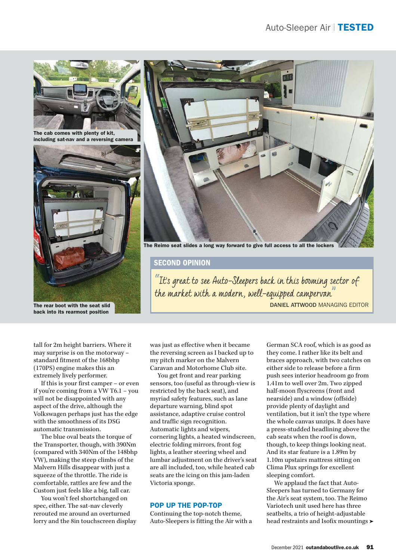

The cab comes with plenty of kit, including sat-nav and a reversing camera





The Reimo seat slides a long way forward to give full access to all the lockers

# SECOND OPINION

 $\mathrm{``Its}$  great to see Auto-Sleepers back in this booming sector of the market with a modern, well-equipped campervan<sup>"</sup>

DANIEL ATTWOOD MANAGING EDITOR

The rear boot with the seat slid back into its rearmost position

tall for 2m height barriers. Where it may surprise is on the motorway – standard fitment of the 168bhp (170PS) engine makes this an extremely lively performer.

If this is your first camper – or even if you're coming from a VW T6.1 – you will not be disappointed with any aspect of the drive, although the Volkswagen perhaps just has the edge with the smoothness of its DSG automatic transmission.

The blue oval beats the torque of the Transporter, though, with 390Nm (compared with 340Nm of the 148bhp VW), making the steep climbs of the Malvern Hills disappear with just a squeeze of the throttle. The ride is comfortable, rattles are few and the Custom just feels like a big, tall car.

You won't feel shortchanged on spec, either. The sat-nav cleverly rerouted me around an overturned lorry and the 8in touchscreen display was just as effective when it became the reversing screen as I backed up to my pitch marker on the Malvern Caravan and Motorhome Club site.

You get front and rear parking sensors, too (useful as through-view is restricted by the back seat), and myriad safety features, such as lane departure warning, blind spot assistance, adaptive cruise control and traffic sign recognition. Automatic lights and wipers, cornering lights, a heated windscreen, electric folding mirrors, front fog lights, a leather steering wheel and lumbar adjustment on the driver's seat are all included, too, while heated cab seats are the icing on this jam-laden Victoria sponge.

# POP UP THE POP-TOP

Continuing the top-notch theme, Auto-Sleepers is fitting the Air with a German SCA roof, which is as good as they come. I rather like its belt and braces approach, with two catches on either side to release before a firm push sees interior headroom go from 1.41m to well over 2m. Two zipped half-moon flyscreens (front and nearside) and a window (offside) provide plenty of daylight and ventilation, but it isn't the type where the whole canvas unzips. It does have a press-studded headlining above the cab seats when the roof is down, though, to keep things looking neat. And its star feature is a 1.89m by 1.10m upstairs mattress sitting on Clima Plux springs for excellent sleeping comfort.

We applaud the fact that Auto-Sleepers has turned to Germany for the Air's seat system, too. The Reimo Variotech unit used here has three seatbelts, a trio of height-adjustable head restraints and Isofix mountings  $\blacktriangleright$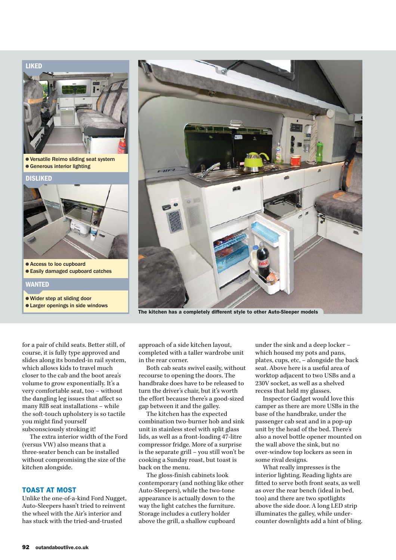



The kitchen has a completely different style to other Auto-Sleeper models

for a pair of child seats. Better still, of course, it is fully type approved and slides along its bonded-in rail system, which allows kids to travel much closer to the cab and the boot area's volume to grow exponentially. It's a very comfortable seat, too – without the dangling leg issues that affect so many RIB seat installations – while the soft-touch upholstery is so tactile you might find yourself subconsciously stroking it!

The extra interior width of the Ford (versus VW) also means that a three-seater bench can be installed without compromising the size of the kitchen alongside.

### TOAST AT MOST

Unlike the one-of-a-kind Ford Nugget, Auto-Sleepers hasn't tried to reinvent the wheel with the Air's interior and has stuck with the tried-and-trusted

approach of a side kitchen layout, completed with a taller wardrobe unit in the rear corner.

Both cab seats swivel easily, without recourse to opening the doors. The handbrake does have to be released to turn the driver's chair, but it's worth the effort because there's a good-sized gap between it and the galley.

The kitchen has the expected combination two-burner hob and sink unit in stainless steel with split glass lids, as well as a front-loading 47-litre compressor fridge. More of a surprise is the separate grill – you still won't be cooking a Sunday roast, but toast is back on the menu.

The gloss-finish cabinets look contemporary (and nothing like other Auto-Sleepers), while the two-tone appearance is actually down to the way the light catches the furniture. Storage includes a cutlery holder above the grill, a shallow cupboard

under the sink and a deep locker – which housed my pots and pans, plates, cups, etc, – alongside the back seat. Above here is a useful area of worktop adjacent to two USBs and a 230V socket, as well as a shelved recess that held my glasses.

Inspector Gadget would love this camper as there are more USBs in the base of the handbrake, under the passenger cab seat and in a pop-up unit by the head of the bed. There's also a novel bottle opener mounted on the wall above the sink, but no over-window top lockers as seen in some rival designs.

What really impresses is the interior lighting. Reading lights are fitted to serve both front seats, as well as over the rear bench (ideal in bed, too) and there are two spotlights above the side door. A long LED strip illuminates the galley, while undercounter downlights add a hint of bling.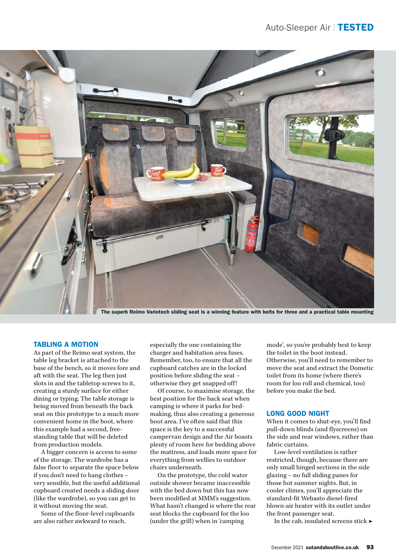

The superb Reimo Variotech sliding seat is a winning feature with belts for three and a practical table mounting

# TABLING A MOTION

As part of the Reimo seat system, the table leg bracket is attached to the base of the bench, so it moves fore and aft with the seat. The leg then just slots in and the tabletop screws to it, creating a sturdy surface for either dining or typing. The table storage is being moved from beneath the back seat on this prototype to a much more convenient home in the boot, where this example had a second, freestanding table that will be deleted from production models.

A bigger concern is access to some of the storage. The wardrobe has a false floor to separate the space below if you don't need to hang clothes – very sensible, but the useful additional cupboard created needs a sliding door (like the wardrobe), so you can get to it without moving the seat.

Some of the floor-level cupboards are also rather awkward to reach,

especially the one containing the charger and habitation area fuses. Remember, too, to ensure that all the cupboard catches are in the locked position before sliding the seat – otherwise they get snapped off!

Of course, to maximise storage, the best position for the back seat when camping is where it parks for bedmaking, thus also creating a generous boot area. I've often said that this space is the key to a successful campervan design and the Air boasts plenty of room here for bedding above the mattress, and loads more space for everything from wellies to outdoor chairs underneath.

On the prototype, the cold water outside shower became inaccessible with the bed down but this has now been modified at MMM's suggestion. What hasn't changed is where the rear seat blocks the cupboard for the loo (under the grill) when in 'camping

mode', so you're probably best to keep the toilet in the boot instead. Otherwise, you'll need to remember to move the seat and extract the Dometic toilet from its home (where there's room for loo roll and chemical, too) before you make the bed.

# LONG GOOD NIGHT

When it comes to shut-eye, you'll find pull-down blinds (and flyscreens) on the side and rear windows, rather than fabric curtains.

Low-level ventilation is rather restricted, though, because there are only small hinged sections in the side glazing – no full sliding panes for those hot summer nights. But, in cooler climes, you'll appreciate the standard-fit Webasto diesel-fired blown-air heater with its outlet under the front passenger seat.

In the cab, insulated screens stick  $\blacktriangleright$